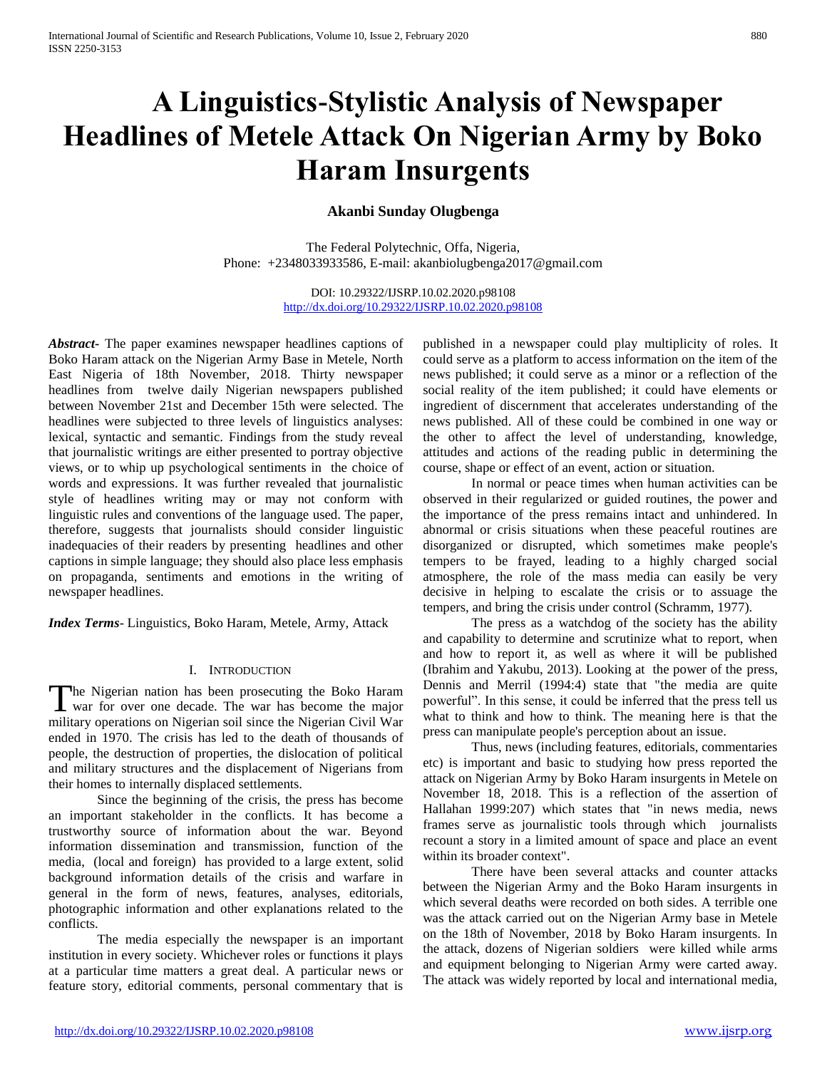# **A Linguistics-Stylistic Analysis of Newspaper Headlines of Metele Attack On Nigerian Army by Boko Haram Insurgents**

# **Akanbi Sunday Olugbenga**

The Federal Polytechnic, Offa, Nigeria, Phone: +2348033933586, E-mail: akanbiolugbenga2017@gmail.com

> DOI: 10.29322/IJSRP.10.02.2020.p98108 <http://dx.doi.org/10.29322/IJSRP.10.02.2020.p98108>

*Abstract***-** The paper examines newspaper headlines captions of Boko Haram attack on the Nigerian Army Base in Metele, North East Nigeria of 18th November, 2018. Thirty newspaper headlines from twelve daily Nigerian newspapers published between November 21st and December 15th were selected. The headlines were subjected to three levels of linguistics analyses: lexical, syntactic and semantic. Findings from the study reveal that journalistic writings are either presented to portray objective views, or to whip up psychological sentiments in the choice of words and expressions. It was further revealed that journalistic style of headlines writing may or may not conform with linguistic rules and conventions of the language used. The paper, therefore, suggests that journalists should consider linguistic inadequacies of their readers by presenting headlines and other captions in simple language; they should also place less emphasis on propaganda, sentiments and emotions in the writing of newspaper headlines.

*Index Terms*- Linguistics, Boko Haram, Metele, Army, Attack

## I. INTRODUCTION

The Nigerian nation has been prosecuting the Boko Haram The Nigerian nation has been prosecuting the Boko Haram<br>war for over one decade. The war has become the major military operations on Nigerian soil since the Nigerian Civil War ended in 1970. The crisis has led to the death of thousands of people, the destruction of properties, the dislocation of political and military structures and the displacement of Nigerians from their homes to internally displaced settlements.

Since the beginning of the crisis, the press has become an important stakeholder in the conflicts. It has become a trustworthy source of information about the war. Beyond information dissemination and transmission, function of the media, (local and foreign) has provided to a large extent, solid background information details of the crisis and warfare in general in the form of news, features, analyses, editorials, photographic information and other explanations related to the conflicts.

The media especially the newspaper is an important institution in every society. Whichever roles or functions it plays at a particular time matters a great deal. A particular news or feature story, editorial comments, personal commentary that is

published in a newspaper could play multiplicity of roles. It could serve as a platform to access information on the item of the news published; it could serve as a minor or a reflection of the social reality of the item published; it could have elements or ingredient of discernment that accelerates understanding of the news published. All of these could be combined in one way or the other to affect the level of understanding, knowledge, attitudes and actions of the reading public in determining the course, shape or effect of an event, action or situation.

In normal or peace times when human activities can be observed in their regularized or guided routines, the power and the importance of the press remains intact and unhindered. In abnormal or crisis situations when these peaceful routines are disorganized or disrupted, which sometimes make people's tempers to be frayed, leading to a highly charged social atmosphere, the role of the mass media can easily be very decisive in helping to escalate the crisis or to assuage the tempers, and bring the crisis under control (Schramm, 1977).

The press as a watchdog of the society has the ability and capability to determine and scrutinize what to report, when and how to report it, as well as where it will be published (Ibrahim and Yakubu, 2013). Looking at the power of the press, Dennis and Merril (1994:4) state that "the media are quite powerful". In this sense, it could be inferred that the press tell us what to think and how to think. The meaning here is that the press can manipulate people's perception about an issue.

Thus, news (including features, editorials, commentaries etc) is important and basic to studying how press reported the attack on Nigerian Army by Boko Haram insurgents in Metele on November 18, 2018. This is a reflection of the assertion of Hallahan 1999:207) which states that "in news media, news frames serve as journalistic tools through which journalists recount a story in a limited amount of space and place an event within its broader context".

There have been several attacks and counter attacks between the Nigerian Army and the Boko Haram insurgents in which several deaths were recorded on both sides. A terrible one was the attack carried out on the Nigerian Army base in Metele on the 18th of November, 2018 by Boko Haram insurgents. In the attack, dozens of Nigerian soldiers were killed while arms and equipment belonging to Nigerian Army were carted away. The attack was widely reported by local and international media,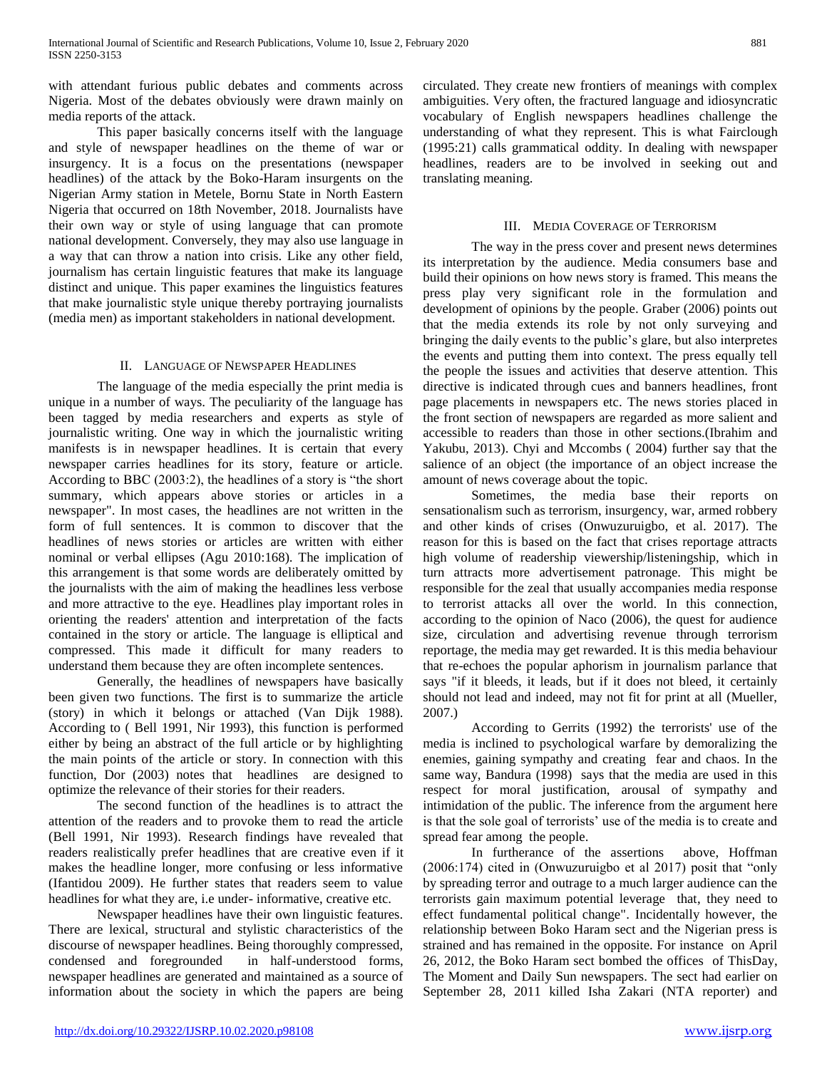with attendant furious public debates and comments across Nigeria. Most of the debates obviously were drawn mainly on media reports of the attack.

This paper basically concerns itself with the language and style of newspaper headlines on the theme of war or insurgency. It is a focus on the presentations (newspaper headlines) of the attack by the Boko-Haram insurgents on the Nigerian Army station in Metele, Bornu State in North Eastern Nigeria that occurred on 18th November, 2018. Journalists have their own way or style of using language that can promote national development. Conversely, they may also use language in a way that can throw a nation into crisis. Like any other field, journalism has certain linguistic features that make its language distinct and unique. This paper examines the linguistics features that make journalistic style unique thereby portraying journalists (media men) as important stakeholders in national development.

## II. LANGUAGE OF NEWSPAPER HEADLINES

The language of the media especially the print media is unique in a number of ways. The peculiarity of the language has been tagged by media researchers and experts as style of journalistic writing. One way in which the journalistic writing manifests is in newspaper headlines. It is certain that every newspaper carries headlines for its story, feature or article. According to BBC (2003:2), the headlines of a story is "the short summary, which appears above stories or articles in a newspaper". In most cases, the headlines are not written in the form of full sentences. It is common to discover that the headlines of news stories or articles are written with either nominal or verbal ellipses (Agu 2010:168). The implication of this arrangement is that some words are deliberately omitted by the journalists with the aim of making the headlines less verbose and more attractive to the eye. Headlines play important roles in orienting the readers' attention and interpretation of the facts contained in the story or article. The language is elliptical and compressed. This made it difficult for many readers to understand them because they are often incomplete sentences.

Generally, the headlines of newspapers have basically been given two functions. The first is to summarize the article (story) in which it belongs or attached (Van Dijk 1988). According to ( Bell 1991, Nir 1993), this function is performed either by being an abstract of the full article or by highlighting the main points of the article or story. In connection with this function, Dor (2003) notes that headlines are designed to optimize the relevance of their stories for their readers.

The second function of the headlines is to attract the attention of the readers and to provoke them to read the article (Bell 1991, Nir 1993). Research findings have revealed that readers realistically prefer headlines that are creative even if it makes the headline longer, more confusing or less informative (Ifantidou 2009). He further states that readers seem to value headlines for what they are, i.e under- informative, creative etc.

Newspaper headlines have their own linguistic features. There are lexical, structural and stylistic characteristics of the discourse of newspaper headlines. Being thoroughly compressed, condensed and foregrounded in half-understood forms, newspaper headlines are generated and maintained as a source of information about the society in which the papers are being

circulated. They create new frontiers of meanings with complex ambiguities. Very often, the fractured language and idiosyncratic vocabulary of English newspapers headlines challenge the understanding of what they represent. This is what Fairclough (1995:21) calls grammatical oddity. In dealing with newspaper headlines, readers are to be involved in seeking out and translating meaning.

## III. MEDIA COVERAGE OF TERRORISM

The way in the press cover and present news determines its interpretation by the audience. Media consumers base and build their opinions on how news story is framed. This means the press play very significant role in the formulation and development of opinions by the people. Graber (2006) points out that the media extends its role by not only surveying and bringing the daily events to the public's glare, but also interpretes the events and putting them into context. The press equally tell the people the issues and activities that deserve attention. This directive is indicated through cues and banners headlines, front page placements in newspapers etc. The news stories placed in the front section of newspapers are regarded as more salient and accessible to readers than those in other sections.(Ibrahim and Yakubu, 2013). Chyi and Mccombs ( 2004) further say that the salience of an object (the importance of an object increase the amount of news coverage about the topic.

Sometimes, the media base their reports on sensationalism such as terrorism, insurgency, war, armed robbery and other kinds of crises (Onwuzuruigbo, et al. 2017). The reason for this is based on the fact that crises reportage attracts high volume of readership viewership/listeningship, which in turn attracts more advertisement patronage. This might be responsible for the zeal that usually accompanies media response to terrorist attacks all over the world. In this connection, according to the opinion of Naco (2006), the quest for audience size, circulation and advertising revenue through terrorism reportage, the media may get rewarded. It is this media behaviour that re-echoes the popular aphorism in journalism parlance that says "if it bleeds, it leads, but if it does not bleed, it certainly should not lead and indeed, may not fit for print at all (Mueller, 2007.)

According to Gerrits (1992) the terrorists' use of the media is inclined to psychological warfare by demoralizing the enemies, gaining sympathy and creating fear and chaos. In the same way, Bandura (1998) says that the media are used in this respect for moral justification, arousal of sympathy and intimidation of the public. The inference from the argument here is that the sole goal of terrorists' use of the media is to create and spread fear among the people.

In furtherance of the assertions above, Hoffman (2006:174) cited in (Onwuzuruigbo et al 2017) posit that "only by spreading terror and outrage to a much larger audience can the terrorists gain maximum potential leverage that, they need to effect fundamental political change". Incidentally however, the relationship between Boko Haram sect and the Nigerian press is strained and has remained in the opposite. For instance on April 26, 2012, the Boko Haram sect bombed the offices of ThisDay, The Moment and Daily Sun newspapers. The sect had earlier on September 28, 2011 killed Isha Zakari (NTA reporter) and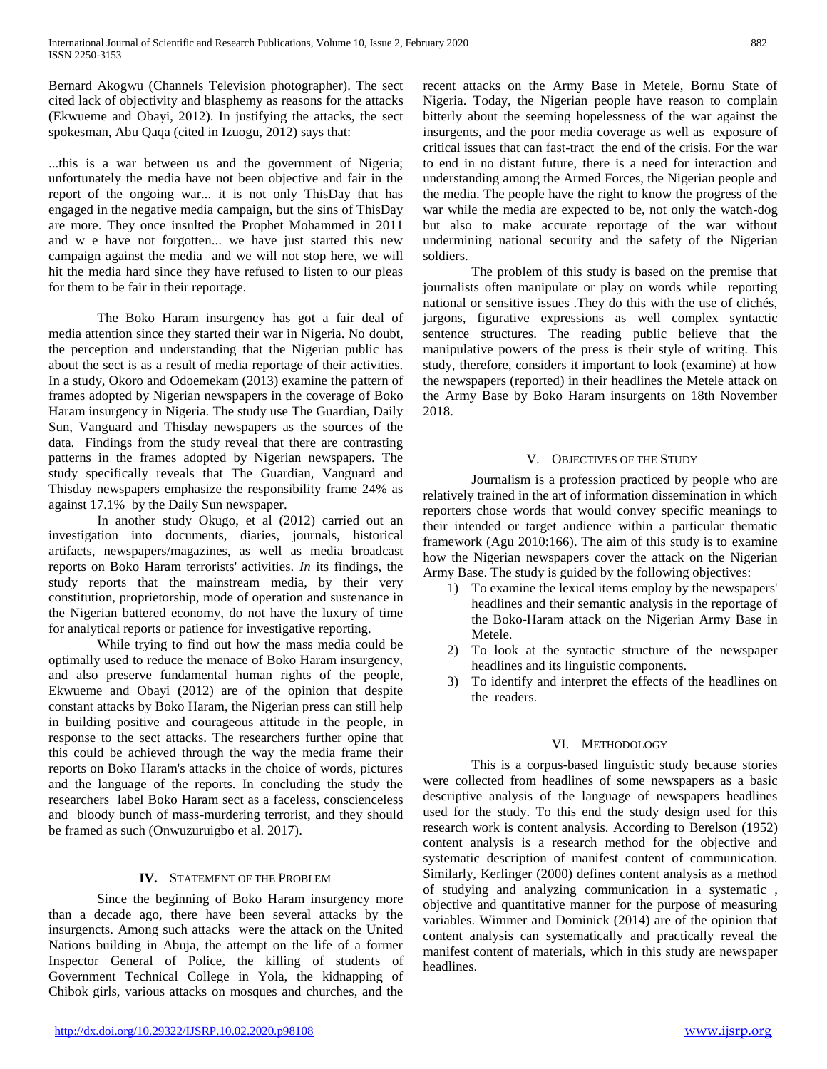Bernard Akogwu (Channels Television photographer). The sect cited lack of objectivity and blasphemy as reasons for the attacks (Ekwueme and Obayi, 2012). In justifying the attacks, the sect spokesman, Abu Qaqa (cited in Izuogu, 2012) says that:

...this is a war between us and the government of Nigeria; unfortunately the media have not been objective and fair in the report of the ongoing war... it is not only ThisDay that has engaged in the negative media campaign, but the sins of ThisDay are more. They once insulted the Prophet Mohammed in 2011 and w e have not forgotten... we have just started this new campaign against the media and we will not stop here, we will hit the media hard since they have refused to listen to our pleas for them to be fair in their reportage.

The Boko Haram insurgency has got a fair deal of media attention since they started their war in Nigeria. No doubt, the perception and understanding that the Nigerian public has about the sect is as a result of media reportage of their activities. In a study, Okoro and Odoemekam (2013) examine the pattern of frames adopted by Nigerian newspapers in the coverage of Boko Haram insurgency in Nigeria. The study use The Guardian, Daily Sun, Vanguard and Thisday newspapers as the sources of the data. Findings from the study reveal that there are contrasting patterns in the frames adopted by Nigerian newspapers. The study specifically reveals that The Guardian, Vanguard and Thisday newspapers emphasize the responsibility frame 24% as against 17.1% by the Daily Sun newspaper.

In another study Okugo, et al (2012) carried out an investigation into documents, diaries, journals, historical artifacts, newspapers/magazines, as well as media broadcast reports on Boko Haram terrorists' activities. *In* its findings, the study reports that the mainstream media, by their very constitution, proprietorship, mode of operation and sustenance in the Nigerian battered economy, do not have the luxury of time for analytical reports or patience for investigative reporting.

While trying to find out how the mass media could be optimally used to reduce the menace of Boko Haram insurgency, and also preserve fundamental human rights of the people, Ekwueme and Obayi (2012) are of the opinion that despite constant attacks by Boko Haram, the Nigerian press can still help in building positive and courageous attitude in the people, in response to the sect attacks. The researchers further opine that this could be achieved through the way the media frame their reports on Boko Haram's attacks in the choice of words, pictures and the language of the reports. In concluding the study the researchers label Boko Haram sect as a faceless, conscienceless and bloody bunch of mass-murdering terrorist, and they should be framed as such (Onwuzuruigbo et al. 2017).

# **IV.** STATEMENT OF THE PROBLEM

Since the beginning of Boko Haram insurgency more than a decade ago, there have been several attacks by the insurgencts. Among such attacks were the attack on the United Nations building in Abuja, the attempt on the life of a former Inspector General of Police, the killing of students of Government Technical College in Yola, the kidnapping of Chibok girls, various attacks on mosques and churches, and the recent attacks on the Army Base in Metele, Bornu State of Nigeria. Today, the Nigerian people have reason to complain bitterly about the seeming hopelessness of the war against the insurgents, and the poor media coverage as well as exposure of critical issues that can fast-tract the end of the crisis. For the war to end in no distant future, there is a need for interaction and understanding among the Armed Forces, the Nigerian people and the media. The people have the right to know the progress of the war while the media are expected to be, not only the watch-dog but also to make accurate reportage of the war without undermining national security and the safety of the Nigerian soldiers.

The problem of this study is based on the premise that journalists often manipulate or play on words while reporting national or sensitive issues .They do this with the use of clichés, jargons, figurative expressions as well complex syntactic sentence structures. The reading public believe that the manipulative powers of the press is their style of writing. This study, therefore, considers it important to look (examine) at how the newspapers (reported) in their headlines the Metele attack on the Army Base by Boko Haram insurgents on 18th November 2018.

## V. OBJECTIVES OF THE STUDY

Journalism is a profession practiced by people who are relatively trained in the art of information dissemination in which reporters chose words that would convey specific meanings to their intended or target audience within a particular thematic framework (Agu 2010:166). The aim of this study is to examine how the Nigerian newspapers cover the attack on the Nigerian Army Base. The study is guided by the following objectives:

- 1) To examine the lexical items employ by the newspapers' headlines and their semantic analysis in the reportage of the Boko-Haram attack on the Nigerian Army Base in Metele.
- 2) To look at the syntactic structure of the newspaper headlines and its linguistic components.
- 3) To identify and interpret the effects of the headlines on the readers.

## VI. METHODOLOGY

This is a corpus-based linguistic study because stories were collected from headlines of some newspapers as a basic descriptive analysis of the language of newspapers headlines used for the study. To this end the study design used for this research work is content analysis. According to Berelson (1952) content analysis is a research method for the objective and systematic description of manifest content of communication. Similarly, Kerlinger (2000) defines content analysis as a method of studying and analyzing communication in a systematic , objective and quantitative manner for the purpose of measuring variables. Wimmer and Dominick (2014) are of the opinion that content analysis can systematically and practically reveal the manifest content of materials, which in this study are newspaper headlines.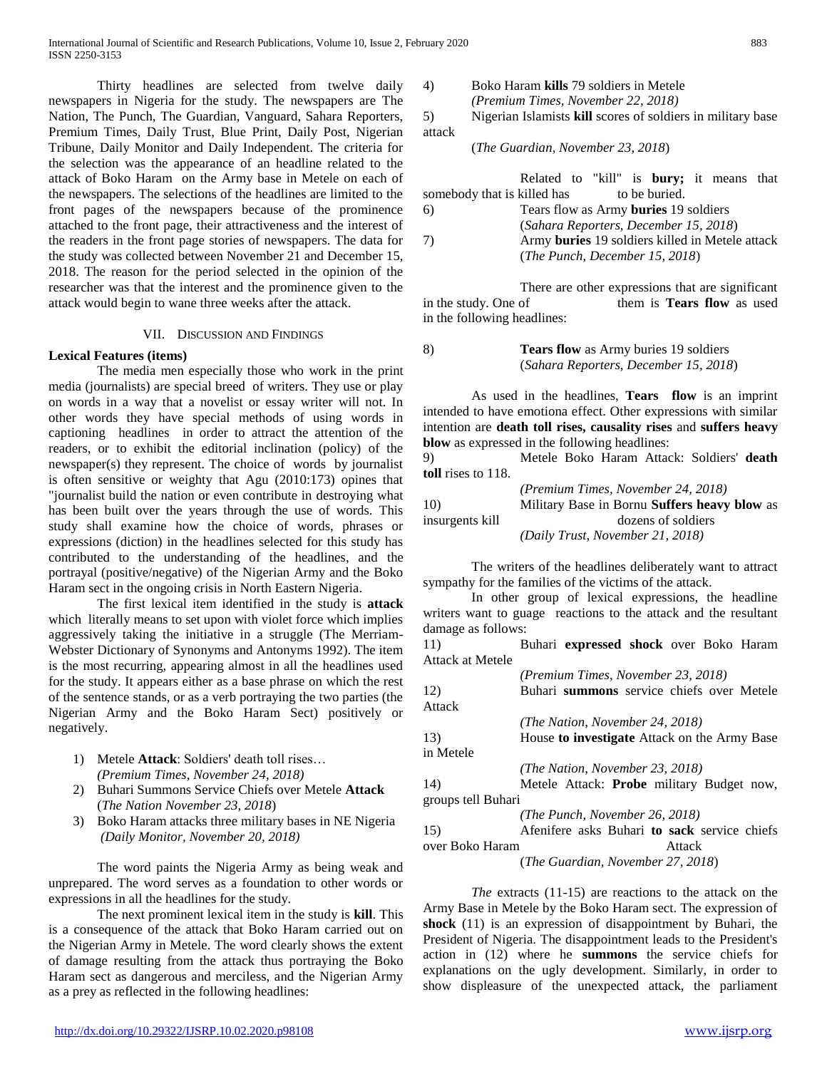Thirty headlines are selected from twelve daily newspapers in Nigeria for the study. The newspapers are The Nation, The Punch, The Guardian, Vanguard, Sahara Reporters, Premium Times, Daily Trust, Blue Print, Daily Post, Nigerian Tribune, Daily Monitor and Daily Independent. The criteria for the selection was the appearance of an headline related to the attack of Boko Haram on the Army base in Metele on each of the newspapers. The selections of the headlines are limited to the front pages of the newspapers because of the prominence attached to the front page, their attractiveness and the interest of the readers in the front page stories of newspapers. The data for the study was collected between November 21 and December 15, 2018. The reason for the period selected in the opinion of the researcher was that the interest and the prominence given to the attack would begin to wane three weeks after the attack.

#### VII. DISCUSSION AND FINDINGS

## **Lexical Features (items)**

The media men especially those who work in the print media (journalists) are special breed of writers. They use or play on words in a way that a novelist or essay writer will not. In other words they have special methods of using words in captioning headlines in order to attract the attention of the readers, or to exhibit the editorial inclination (policy) of the newspaper(s) they represent. The choice of words by journalist is often sensitive or weighty that Agu (2010:173) opines that "journalist build the nation or even contribute in destroying what has been built over the years through the use of words. This study shall examine how the choice of words, phrases or expressions (diction) in the headlines selected for this study has contributed to the understanding of the headlines, and the portrayal (positive/negative) of the Nigerian Army and the Boko Haram sect in the ongoing crisis in North Eastern Nigeria.

The first lexical item identified in the study is **attack** which literally means to set upon with violet force which implies aggressively taking the initiative in a struggle (The Merriam-Webster Dictionary of Synonyms and Antonyms 1992). The item is the most recurring, appearing almost in all the headlines used for the study. It appears either as a base phrase on which the rest of the sentence stands, or as a verb portraying the two parties (the Nigerian Army and the Boko Haram Sect) positively or negatively.

- 1) Metele **Attack**: Soldiers' death toll rises… *(Premium Times, November 24, 2018)*
- 2) Buhari Summons Service Chiefs over Metele **Attack** (*The Nation November 23, 2018*)
- 3) Boko Haram attacks three military bases in NE Nigeria *(Daily Monitor, November 20, 2018)*

The word paints the Nigeria Army as being weak and unprepared. The word serves as a foundation to other words or expressions in all the headlines for the study.

The next prominent lexical item in the study is **kill**. This is a consequence of the attack that Boko Haram carried out on the Nigerian Army in Metele. The word clearly shows the extent of damage resulting from the attack thus portraying the Boko Haram sect as dangerous and merciless, and the Nigerian Army as a prey as reflected in the following headlines:

- 4) Boko Haram **kills** 79 soldiers in Metele *(Premium Times, November 22, 2018)*
	- 5) Nigerian Islamists **kill** scores of soldiers in military base attack

(*The Guardian, November 23, 2018*)

|                             | Related to "kill" is <b>bury</b> ; it means that |  |               |  |  |
|-----------------------------|--------------------------------------------------|--|---------------|--|--|
| somebody that is killed has |                                                  |  | to be buried. |  |  |
| 6)                          | Tears flow as Army <b>buries</b> 19 soldiers     |  |               |  |  |
|                             | (Sahara Reporters, December 15, 2018)            |  |               |  |  |
| -7)                         | Army buries 19 soldiers killed in Metele attack  |  |               |  |  |
|                             | (The Punch, December 15, 2018)                   |  |               |  |  |

There are other expressions that are significant in the study. One of them is **Tears flow** as used in the following headlines:

8) **Tears flow** as Army buries 19 soldiers (*Sahara Reporters, December 15, 2018*)

As used in the headlines, **Tears flow** is an imprint intended to have emotiona effect. Other expressions with similar intention are **death toll rises, causality rises** and **suffers heavy blow** as expressed in the following headlines:

9) Metele Boko Haram Attack: Soldiers' **death toll** rises to 118.

|                 | <i>(Premium Times, November 24, 2018)</i>           |
|-----------------|-----------------------------------------------------|
| 10 <sup>)</sup> | Military Base in Bornu <b>Suffers heavy blow</b> as |
| insurgents kill | dozens of soldiers                                  |
|                 | (Daily Trust, November 21, 2018)                    |

The writers of the headlines deliberately want to attract sympathy for the families of the victims of the attack.

In other group of lexical expressions, the headline writers want to guage reactions to the attack and the resultant damage as follows:

11) Buhari **expressed shock** over Boko Haram Attack at Metele

|                    | (Premium Times, November 23, 2018)               |
|--------------------|--------------------------------------------------|
| 12)                | Buhari summons service chiefs over Metele        |
| Attack             |                                                  |
|                    | (The Nation, November 24, 2018)                  |
| 13)                | House to investigate Attack on the Army Base     |
| in Metele          |                                                  |
|                    | (The Nation, November 23, 2018)                  |
| 14)                | Metele Attack: <b>Probe</b> military Budget now, |
| groups tell Buhari |                                                  |
|                    | (The Punch, November 26, 2018)                   |
| 15)                | Afenifere asks Buhari to sack service chiefs     |
| over Boko Haram    | Attack                                           |
|                    | (The Guardian, November 27, 2018)                |

*The* extracts (11-15) are reactions to the attack on the Army Base in Metele by the Boko Haram sect. The expression of **shock** (11) is an expression of disappointment by Buhari, the President of Nigeria. The disappointment leads to the President's action in (12) where he **summons** the service chiefs for explanations on the ugly development. Similarly, in order to show displeasure of the unexpected attack, the parliament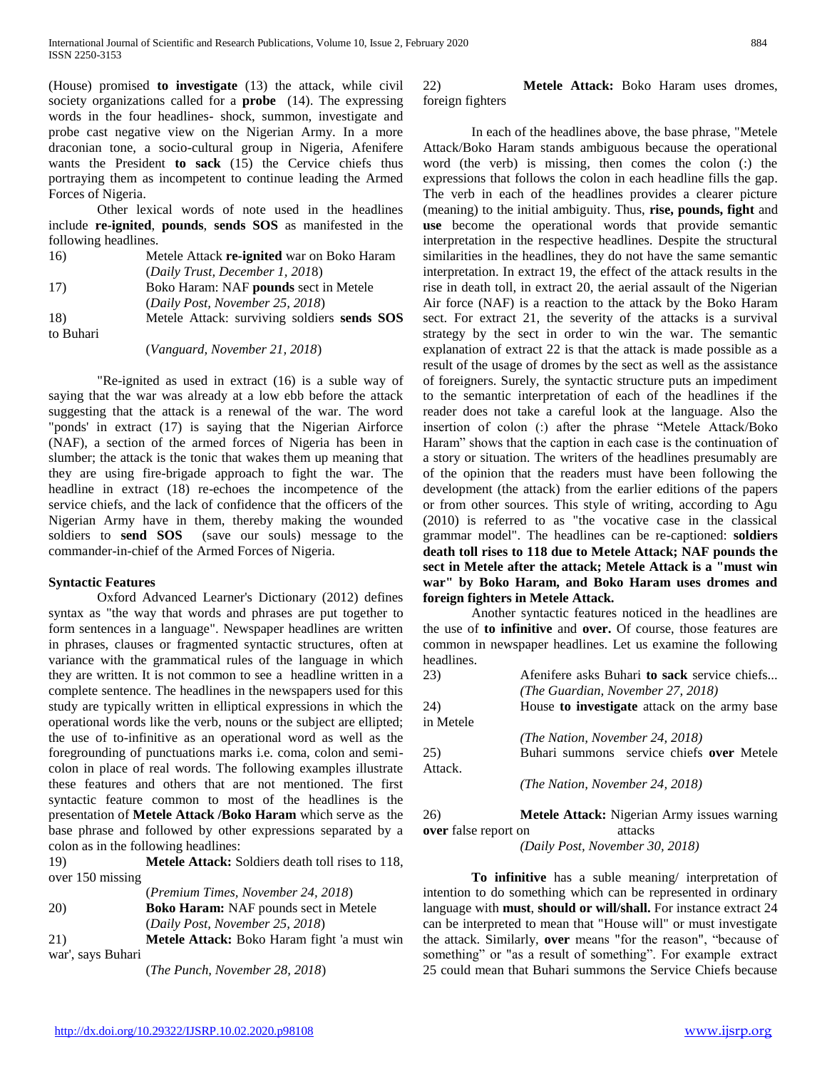(House) promised **to investigate** (13) the attack, while civil society organizations called for a **probe** (14). The expressing words in the four headlines- shock, summon, investigate and probe cast negative view on the Nigerian Army. In a more draconian tone, a socio-cultural group in Nigeria, Afenifere wants the President **to sack** (15) the Cervice chiefs thus portraying them as incompetent to continue leading the Armed Forces of Nigeria.

Other lexical words of note used in the headlines include **re-ignited**, **pounds**, **sends SOS** as manifested in the following headlines.

| 16)       | Metele Attack re-ignited war on Boko Haram  |
|-----------|---------------------------------------------|
|           | (Daily Trust, December 1, 2018)             |
| 17)       | Boko Haram: NAF pounds sect in Metele       |
|           | (Daily Post, November 25, 2018)             |
| 18)       | Metele Attack: surviving soldiers sends SOS |
| to Buhari |                                             |

(*Vanguard, November 21, 2018*)

"Re-ignited as used in extract (16) is a suble way of saying that the war was already at a low ebb before the attack suggesting that the attack is a renewal of the war. The word "ponds' in extract (17) is saying that the Nigerian Airforce (NAF), a section of the armed forces of Nigeria has been in slumber; the attack is the tonic that wakes them up meaning that they are using fire-brigade approach to fight the war. The headline in extract (18) re-echoes the incompetence of the service chiefs, and the lack of confidence that the officers of the Nigerian Army have in them, thereby making the wounded soldiers to **send SOS** (save our souls) message to the commander-in-chief of the Armed Forces of Nigeria.

## **Syntactic Features**

Oxford Advanced Learner's Dictionary (2012) defines syntax as "the way that words and phrases are put together to form sentences in a language". Newspaper headlines are written in phrases, clauses or fragmented syntactic structures, often at variance with the grammatical rules of the language in which they are written. It is not common to see a headline written in a complete sentence. The headlines in the newspapers used for this study are typically written in elliptical expressions in which the operational words like the verb, nouns or the subject are ellipted; the use of to-infinitive as an operational word as well as the foregrounding of punctuations marks i.e. coma, colon and semicolon in place of real words. The following examples illustrate these features and others that are not mentioned. The first syntactic feature common to most of the headlines is the presentation of **Metele Attack /Boko Haram** which serve as the base phrase and followed by other expressions separated by a colon as in the following headlines:

19) **Metele Attack:** Soldiers death toll rises to 118, over 150 missing

|     | <i>(Premium Times, November 24, 2018)</i>    |
|-----|----------------------------------------------|
| 20) | <b>Boko Haram:</b> NAF pounds sect in Metele |

(*Daily Post, November 25, 2018*)

21) **Metele Attack:** Boko Haram fight 'a must win war', says Buhari

(*The Punch, November 28, 2018*)

## 22) **Metele Attack:** Boko Haram uses dromes, foreign fighters

In each of the headlines above, the base phrase, "Metele Attack/Boko Haram stands ambiguous because the operational word (the verb) is missing, then comes the colon (:) the expressions that follows the colon in each headline fills the gap. The verb in each of the headlines provides a clearer picture (meaning) to the initial ambiguity. Thus, **rise, pounds, fight** and **use** become the operational words that provide semantic interpretation in the respective headlines. Despite the structural similarities in the headlines, they do not have the same semantic interpretation. In extract 19, the effect of the attack results in the rise in death toll, in extract 20, the aerial assault of the Nigerian Air force (NAF) is a reaction to the attack by the Boko Haram sect. For extract 21, the severity of the attacks is a survival strategy by the sect in order to win the war. The semantic explanation of extract 22 is that the attack is made possible as a result of the usage of dromes by the sect as well as the assistance of foreigners. Surely, the syntactic structure puts an impediment to the semantic interpretation of each of the headlines if the reader does not take a careful look at the language. Also the insertion of colon (:) after the phrase "Metele Attack/Boko Haram" shows that the caption in each case is the continuation of a story or situation. The writers of the headlines presumably are of the opinion that the readers must have been following the development (the attack) from the earlier editions of the papers or from other sources. This style of writing, according to Agu (2010) is referred to as "the vocative case in the classical grammar model". The headlines can be re-captioned: **soldiers death toll rises to 118 due to Metele Attack; NAF pounds the sect in Metele after the attack; Metele Attack is a "must win war" by Boko Haram, and Boko Haram uses dromes and foreign fighters in Metele Attack.**

Another syntactic features noticed in the headlines are the use of **to infinitive** and **over.** Of course, those features are common in newspaper headlines. Let us examine the following headlines.

| 23)       | Afenifere asks Buhari to sack service chiefs |
|-----------|----------------------------------------------|
|           | (The Guardian, November 27, 2018)            |
| 24)       | House to investigate attack on the army base |
| in Metele |                                              |
|           | (The Nation, November 24, 2018)              |
| 25)       | Buhari summons service chiefs over Metele    |
| Attack.   |                                              |
|           | (The Nation, November 24, 2018)              |

26) **Metele Attack:** Nigerian Army issues warning **over** false report on attacks *(Daily Post, November 30, 2018)*

**To infinitive** has a suble meaning/ interpretation of intention to do something which can be represented in ordinary language with **must**, **should or will/shall.** For instance extract 24 can be interpreted to mean that "House will" or must investigate the attack. Similarly, **over** means "for the reason", "because of something" or "as a result of something". For example extract 25 could mean that Buhari summons the Service Chiefs because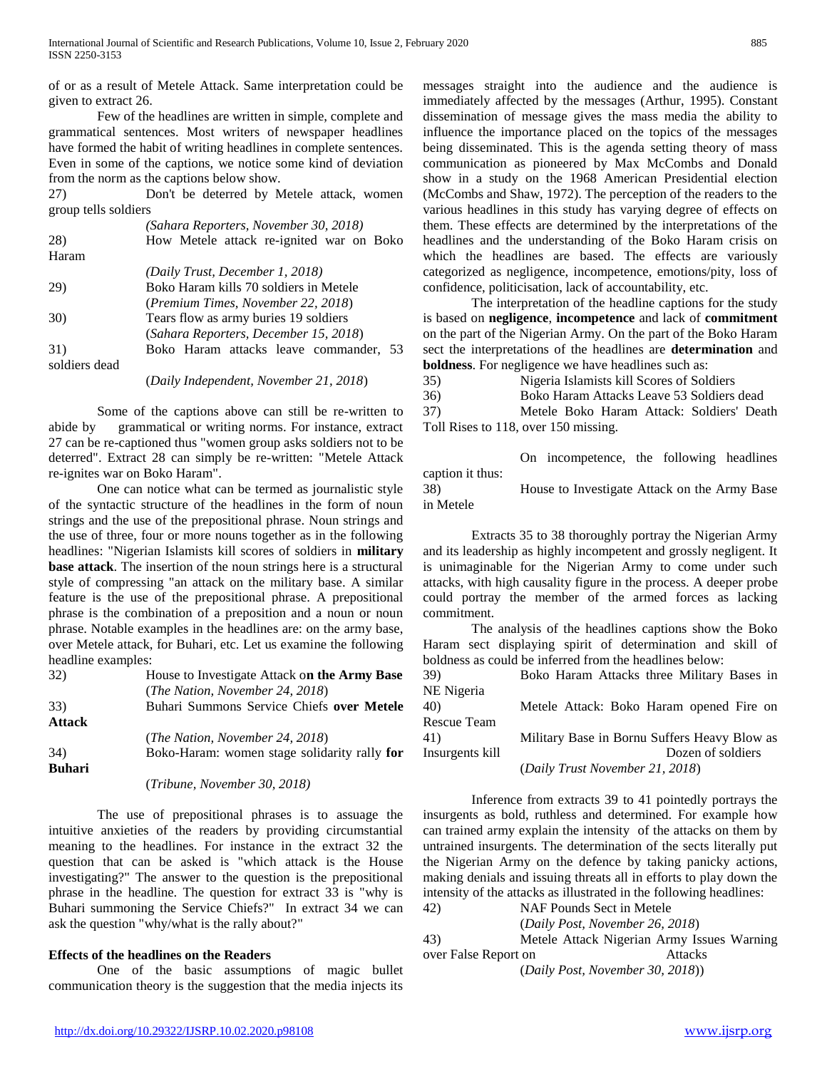of or as a result of Metele Attack. Same interpretation could be given to extract 26.

Few of the headlines are written in simple, complete and grammatical sentences. Most writers of newspaper headlines have formed the habit of writing headlines in complete sentences. Even in some of the captions, we notice some kind of deviation from the norm as the captions below show.

27) Don't be deterred by Metele attack, women group tells soldiers

|               | (Sahara Reporters, November 30, 2018)    |
|---------------|------------------------------------------|
| 28)           | How Metele attack re-ignited war on Boko |
| Haram         |                                          |
|               | (Daily Trust, December 1, 2018)          |
| 29)           | Boko Haram kills 70 soldiers in Metele   |
|               | (Premium Times, November 22, 2018)       |
| 30)           | Tears flow as army buries 19 soldiers    |
|               | (Sahara Reporters, December 15, 2018)    |
| 31)           | Boko Haram attacks leave commander, 53   |
| soldiers dead |                                          |
|               | (Daily Independent, November 21, 2018)   |

Some of the captions above can still be re-written to abide by grammatical or writing norms. For instance, extract 27 can be re-captioned thus "women group asks soldiers not to be deterred". Extract 28 can simply be re-written: "Metele Attack re-ignites war on Boko Haram".

One can notice what can be termed as journalistic style of the syntactic structure of the headlines in the form of noun strings and the use of the prepositional phrase. Noun strings and the use of three, four or more nouns together as in the following headlines: "Nigerian Islamists kill scores of soldiers in **military base attack**. The insertion of the noun strings here is a structural style of compressing "an attack on the military base. A similar feature is the use of the prepositional phrase. A prepositional phrase is the combination of a preposition and a noun or noun phrase. Notable examples in the headlines are: on the army base, over Metele attack, for Buhari, etc. Let us examine the following headline examples:

| 32)           | House to Investigate Attack on the Army Base |
|---------------|----------------------------------------------|
|               | (The Nation, November 24, 2018)              |
| 33)           | Buhari Summons Service Chiefs over Metele    |
| <b>Attack</b> |                                              |
|               | ( <i>The Nation, November 24, 2018</i> )     |
| 34)           | Boko-Haram: women stage solidarity rally for |
| <b>Buhari</b> |                                              |
|               | (Tribune, November 30, 2018)                 |

The use of prepositional phrases is to assuage the intuitive anxieties of the readers by providing circumstantial meaning to the headlines. For instance in the extract 32 the question that can be asked is "which attack is the House investigating?" The answer to the question is the prepositional phrase in the headline. The question for extract 33 is "why is Buhari summoning the Service Chiefs?" In extract 34 we can ask the question "why/what is the rally about?"

# **Effects of the headlines on the Readers**

One of the basic assumptions of magic bullet communication theory is the suggestion that the media injects its messages straight into the audience and the audience is immediately affected by the messages (Arthur, 1995). Constant dissemination of message gives the mass media the ability to influence the importance placed on the topics of the messages being disseminated. This is the agenda setting theory of mass communication as pioneered by Max McCombs and Donald show in a study on the 1968 American Presidential election (McCombs and Shaw, 1972). The perception of the readers to the various headlines in this study has varying degree of effects on them. These effects are determined by the interpretations of the headlines and the understanding of the Boko Haram crisis on which the headlines are based. The effects are variously categorized as negligence, incompetence, emotions/pity, loss of confidence, politicisation, lack of accountability, etc.

The interpretation of the headline captions for the study is based on **negligence**, **incompetence** and lack of **commitment** on the part of the Nigerian Army. On the part of the Boko Haram sect the interpretations of the headlines are **determination** and **boldness**. For negligence we have headlines such as:

35) Nigeria Islamists kill Scores of Soldiers 36) Boko Haram Attacks Leave 53 Soldiers dead

37) Metele Boko Haram Attack: Soldiers' Death Toll Rises to 118, over 150 missing.

On incompetence, the following headlines caption it thus: 38) House to Investigate Attack on the Army Base in Metele

Extracts 35 to 38 thoroughly portray the Nigerian Army and its leadership as highly incompetent and grossly negligent. It is unimaginable for the Nigerian Army to come under such attacks, with high causality figure in the process. A deeper probe could portray the member of the armed forces as lacking commitment.

The analysis of the headlines captions show the Boko Haram sect displaying spirit of determination and skill of boldness as could be inferred from the headlines below:

39) Boko Haram Attacks three Military Bases in NE Nigeria 40) Metele Attack: Boko Haram opened Fire on

Rescue Team 41) Military Base in Bornu Suffers Heavy Blow as Insurgents kill Dozen of soldiers

(*Daily Trust November 21, 2018*)

Inference from extracts 39 to 41 pointedly portrays the insurgents as bold, ruthless and determined. For example how can trained army explain the intensity of the attacks on them by untrained insurgents. The determination of the sects literally put the Nigerian Army on the defence by taking panicky actions, making denials and issuing threats all in efforts to play down the intensity of the attacks as illustrated in the following headlines:

42) NAF Pounds Sect in Metele

(*Daily Post, November 26, 2018*)

43) Metele Attack Nigerian Army Issues Warning over False Report on Attacks (*Daily Post, November 30, 2018*))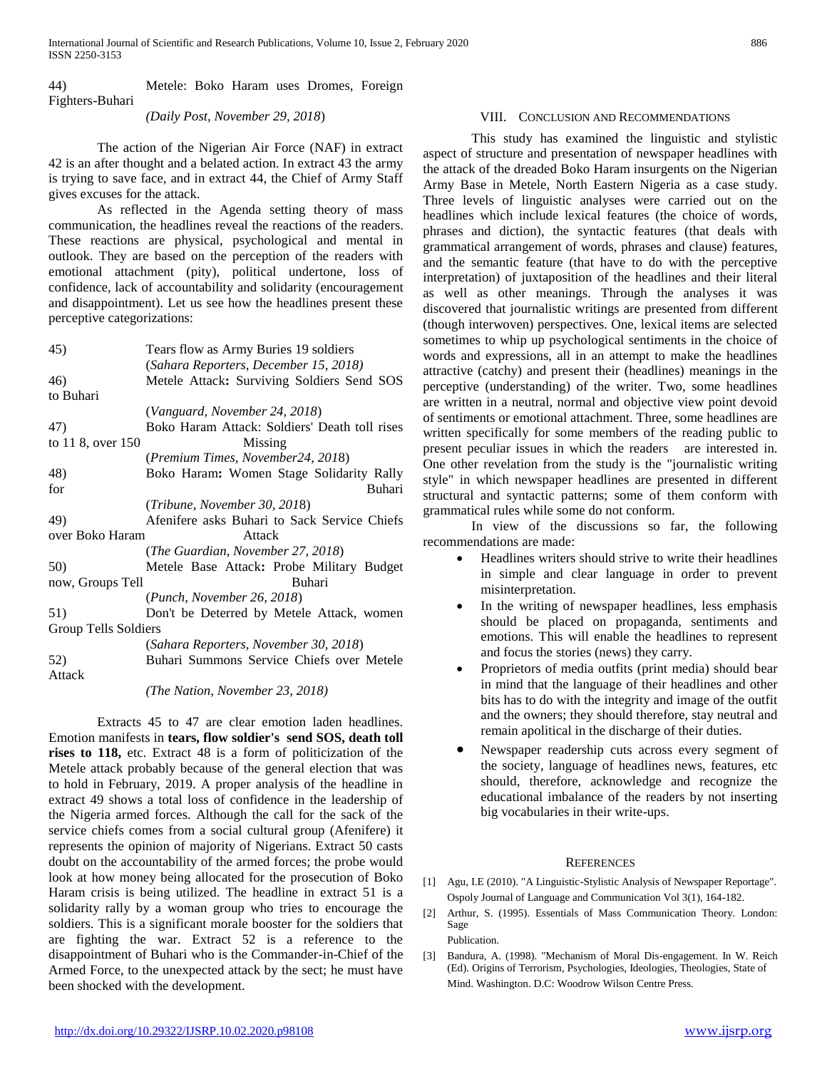44) Metele: Boko Haram uses Dromes, Foreign Fighters-Buhari

*(Daily Post, November 29, 2018*)

The action of the Nigerian Air Force (NAF) in extract 42 is an after thought and a belated action. In extract 43 the army is trying to save face, and in extract 44, the Chief of Army Staff gives excuses for the attack.

As reflected in the Agenda setting theory of mass communication, the headlines reveal the reactions of the readers. These reactions are physical, psychological and mental in outlook. They are based on the perception of the readers with emotional attachment (pity), political undertone, loss of confidence, lack of accountability and solidarity (encouragement and disappointment). Let us see how the headlines present these perceptive categorizations:

| 45)                         | Tears flow as Army Buries 19 soldiers         |
|-----------------------------|-----------------------------------------------|
|                             | (Sahara Reporters, December 15, 2018)         |
| 46)                         | Metele Attack: Surviving Soldiers Send SOS    |
| to Buhari                   |                                               |
|                             | (Vanguard, November 24, 2018)                 |
| 47)                         | Boko Haram Attack: Soldiers' Death toll rises |
| to 11 8, over 150           | Missing                                       |
|                             | (Premium Times, November24, 2018)             |
| 48)                         | Boko Haram: Women Stage Solidarity Rally      |
| for                         | Buhari                                        |
|                             | (Tribune, November 30, 2018)                  |
| 49)                         | Afenifere asks Buhari to Sack Service Chiefs  |
| over Boko Haram             | Attack                                        |
|                             | (The Guardian, November 27, 2018)             |
| 50)                         | Metele Base Attack: Probe Military Budget     |
| now, Groups Tell            | Buhari                                        |
|                             | (Punch, November 26, 2018)                    |
| 51)                         | Don't be Deterred by Metele Attack, women     |
| <b>Group Tells Soldiers</b> |                                               |
|                             | (Sahara Reporters, November 30, 2018)         |
| 52)                         | Buhari Summons Service Chiefs over Metele     |
| Attack                      |                                               |
|                             |                                               |

*(The Nation, November 23, 2018)*

Extracts 45 to 47 are clear emotion laden headlines. Emotion manifests in **tears, flow soldier's send SOS, death toll rises to 118,** etc. Extract 48 is a form of politicization of the Metele attack probably because of the general election that was to hold in February, 2019. A proper analysis of the headline in extract 49 shows a total loss of confidence in the leadership of the Nigeria armed forces. Although the call for the sack of the service chiefs comes from a social cultural group (Afenifere) it represents the opinion of majority of Nigerians. Extract 50 casts doubt on the accountability of the armed forces; the probe would look at how money being allocated for the prosecution of Boko Haram crisis is being utilized. The headline in extract 51 is a solidarity rally by a woman group who tries to encourage the soldiers. This is a significant morale booster for the soldiers that are fighting the war. Extract 52 is a reference to the disappointment of Buhari who is the Commander-in-Chief of the Armed Force, to the unexpected attack by the sect; he must have been shocked with the development.

## VIII. CONCLUSION AND RECOMMENDATIONS

This study has examined the linguistic and stylistic aspect of structure and presentation of newspaper headlines with the attack of the dreaded Boko Haram insurgents on the Nigerian Army Base in Metele, North Eastern Nigeria as a case study. Three levels of linguistic analyses were carried out on the headlines which include lexical features (the choice of words, phrases and diction), the syntactic features (that deals with grammatical arrangement of words, phrases and clause) features, and the semantic feature (that have to do with the perceptive interpretation) of juxtaposition of the headlines and their literal as well as other meanings. Through the analyses it was discovered that journalistic writings are presented from different (though interwoven) perspectives. One, lexical items are selected sometimes to whip up psychological sentiments in the choice of words and expressions, all in an attempt to make the headlines attractive (catchy) and present their (headlines) meanings in the perceptive (understanding) of the writer. Two, some headlines are written in a neutral, normal and objective view point devoid of sentiments or emotional attachment. Three, some headlines are written specifically for some members of the reading public to present peculiar issues in which the readers are interested in. One other revelation from the study is the "journalistic writing style" in which newspaper headlines are presented in different structural and syntactic patterns; some of them conform with grammatical rules while some do not conform.

In view of the discussions so far, the following recommendations are made:

- Headlines writers should strive to write their headlines in simple and clear language in order to prevent misinterpretation.
- In the writing of newspaper headlines, less emphasis should be placed on propaganda, sentiments and emotions. This will enable the headlines to represent and focus the stories (news) they carry.
- Proprietors of media outfits (print media) should bear in mind that the language of their headlines and other bits has to do with the integrity and image of the outfit and the owners; they should therefore, stay neutral and remain apolitical in the discharge of their duties.
- Newspaper readership cuts across every segment of the society, language of headlines news, features, etc should, therefore, acknowledge and recognize the educational imbalance of the readers by not inserting big vocabularies in their write-ups.

## **REFERENCES**

- [1] Agu, I.E (2010). "A Linguistic-Stylistic Analysis of Newspaper Reportage". Ospoly Journal of Language and Communication Vol 3(1), 164-182.
- [2] Arthur, S. (1995). Essentials of Mass Communication Theory. London: Sage

Publication.

[3] Bandura, A. (1998). "Mechanism of Moral Dis-engagement. In W. Reich (Ed). Origins of Terrorism, Psychologies, Ideologies, Theologies, State of Mind. Washington. D.C: Woodrow Wilson Centre Press.